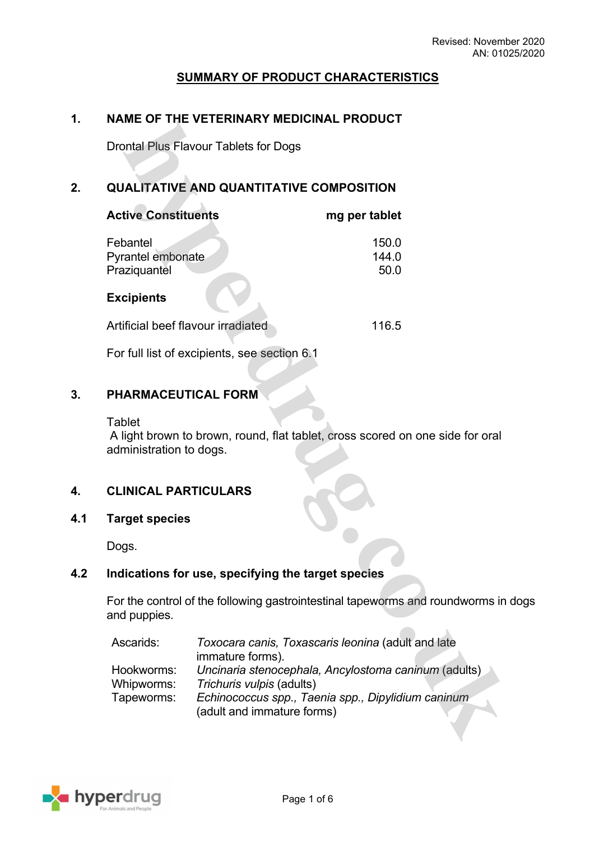## **SUMMARY OF PRODUCT CHARACTERISTICS**

## **1. NAME OF THE VETERINARY MEDICINAL PRODUCT**

Drontal Plus Flavour Tablets for Dogs

## **2. QUALITATIVE AND QUANTITATIVE COMPOSITION**

| <b>Active Constituents</b>                    | mg per tablet          |
|-----------------------------------------------|------------------------|
| Febantel<br>Pyrantel embonate<br>Praziquantel | 150.0<br>144.0<br>50.0 |
| <b>Excipients</b>                             |                        |
| Artificial beef flavour irradiated            | 116.5                  |

For full list of excipients, see section 6.1

### **3. PHARMACEUTICAL FORM**

**Tablet** 

 A light brown to brown, round, flat tablet, cross scored on one side for oral administration to dogs.

### **4. CLINICAL PARTICULARS**

**4.1 Target species**

Dogs.

## **4.2 Indications for use, specifying the target species**

For the control of the following gastrointestinal tapeworms and roundworms in dogs and puppies.

| Ascarids:  | Toxocara canis, Toxascaris leonina (adult and late   |  |
|------------|------------------------------------------------------|--|
|            | immature forms).                                     |  |
| Hookworms: | Uncinaria stenocephala, Ancylostoma caninum (adults) |  |
| Whipworms: | Trichuris vulpis (adults)                            |  |
| Tapeworms: | Echinococcus spp., Taenia spp., Dipylidium caninum   |  |
|            | (adult and immature forms)                           |  |

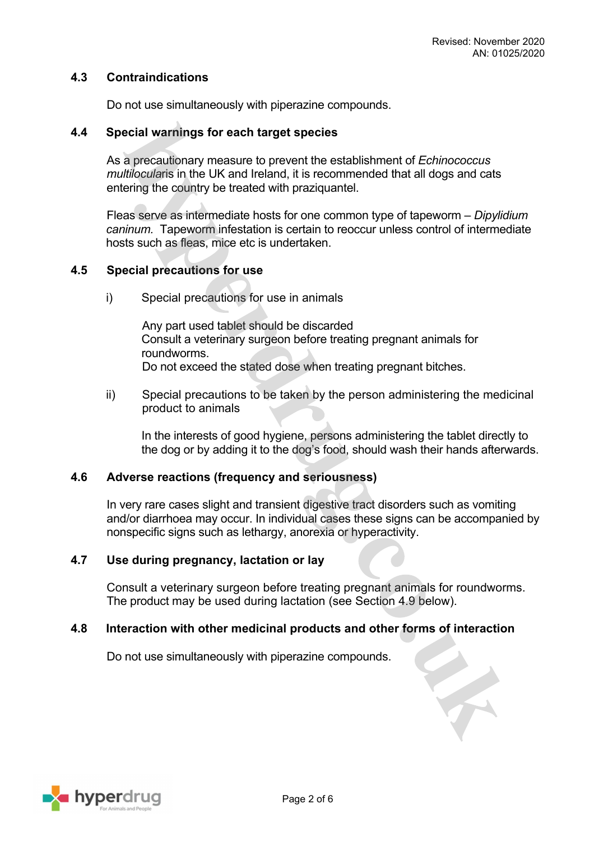## **4.3 Contraindications**

Do not use simultaneously with piperazine compounds.

### **4.4 Special warnings for each target species**

As a precautionary measure to prevent the establishment of *Echinococcus multilocula*ris in the UK and Ireland, it is recommended that all dogs and cats entering the country be treated with praziquantel.

Fleas serve as intermediate hosts for one common type of tapeworm – *Dipylidium caninum.* Tapeworm infestation is certain to reoccur unless control of intermediate hosts such as fleas, mice etc is undertaken.

### **4.5 Special precautions for use**

i) Special precautions for use in animals

Any part used tablet should be discarded Consult a veterinary surgeon before treating pregnant animals for roundworms. Do not exceed the stated dose when treating pregnant bitches.

ii) Special precautions to be taken by the person administering the medicinal product to animals

In the interests of good hygiene, persons administering the tablet directly to the dog or by adding it to the dog's food, should wash their hands afterwards.

### **4.6 Adverse reactions (frequency and seriousness)**

In very rare cases slight and transient digestive tract disorders such as vomiting and/or diarrhoea may occur. In individual cases these signs can be accompanied by nonspecific signs such as lethargy, anorexia or hyperactivity.

### **4.7 Use during pregnancy, lactation or lay**

Consult a veterinary surgeon before treating pregnant animals for roundworms. The product may be used during lactation (see Section 4.9 below).

### **4.8 Interaction with other medicinal products and other forms of interaction**

Do not use simultaneously with piperazine compounds.

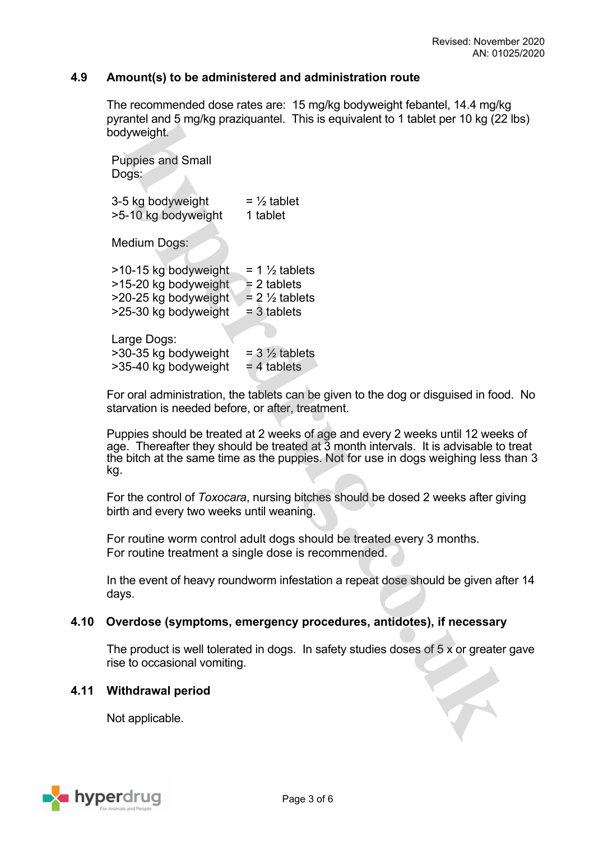## **4.9 Amount(s) to be administered and administration route**

The recommended dose rates are: 15 mg/kg bodyweight febantel, 14.4 mg/kg pyrantel and 5 mg/kg praziquantel. This is equivalent to 1 tablet per 10 kg (22 lbs) bodyweight.

Puppies and Small Dogs:

3-5 kg bodyweight  $= \frac{1}{2}$  tablet >5-10 kg bodyweight 1 tablet

Medium Dogs:

| >10-15 kg bodyweight | $= 1 \frac{1}{2}$ tablets |
|----------------------|---------------------------|
| >15-20 kg bodyweight | $= 2$ tablets             |
| >20-25 kg bodyweight | $= 2 \frac{1}{2}$ tablets |
| >25-30 kg bodyweight | $=$ 3 tablets             |
|                      |                           |

Large Dogs:  $>$ 30-35 kg bodyweight = 3  $\frac{1}{2}$  tablets  $>$ 35-40 kg bodyweight = 4 tablets

For oral administration, the tablets can be given to the dog or disguised in food. No starvation is needed before, or after, treatment.

Puppies should be treated at 2 weeks of age and every 2 weeks until 12 weeks of age. Thereafter they should be treated at 3 month intervals. It is advisable to treat the bitch at the same time as the puppies. Not for use in dogs weighing less than 3 kg.

For the control of *Toxocara*, nursing bitches should be dosed 2 weeks after giving birth and every two weeks until weaning.

For routine worm control adult dogs should be treated every 3 months. For routine treatment a single dose is recommended.

In the event of heavy roundworm infestation a repeat dose should be given after 14 days.

## **4.10 Overdose (symptoms, emergency procedures, antidotes), if necessary**

The product is well tolerated in dogs. In safety studies doses of 5 x or greater gave rise to occasional vomiting.

### **4.11 Withdrawal period**

Not applicable.

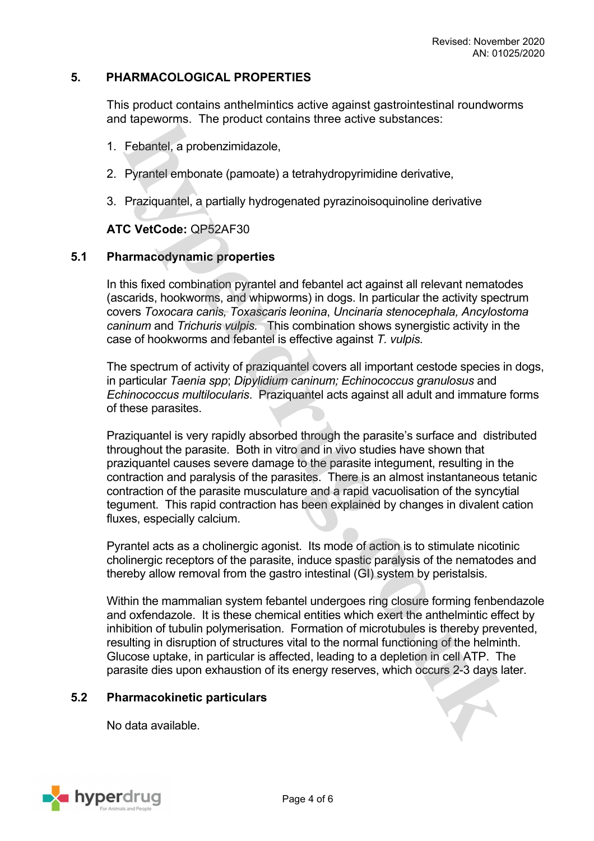## **5. PHARMACOLOGICAL PROPERTIES**

This product contains anthelmintics active against gastrointestinal roundworms and tapeworms. The product contains three active substances:

- 1. Febantel, a probenzimidazole,
- 2. Pyrantel embonate (pamoate) a tetrahydropyrimidine derivative,
- 3. Praziquantel, a partially hydrogenated pyrazinoisoquinoline derivative

## **ATC VetCode:** QP52AF30

### **5.1 Pharmacodynamic properties**

In this fixed combination pyrantel and febantel act against all relevant nematodes (ascarids, hookworms, and whipworms) in dogs. In particular the activity spectrum covers *Toxocara canis, Toxascaris leonina*, *Uncinaria stenocephala, Ancylostoma caninum* and *Trichuris vulpis.* This combination shows synergistic activity in the case of hookworms and febantel is effective against *T. vulpis.*

The spectrum of activity of praziquantel covers all important cestode species in dogs, in particular *Taenia spp*; *Dipylidium caninum; Echinococcus granulosus* and *Echinococcus multilocularis*. Praziquantel acts against all adult and immature forms of these parasites.

Praziquantel is very rapidly absorbed through the parasite's surface and distributed throughout the parasite. Both in vitro and in vivo studies have shown that praziquantel causes severe damage to the parasite integument, resulting in the contraction and paralysis of the parasites. There is an almost instantaneous tetanic contraction of the parasite musculature and a rapid vacuolisation of the syncytial tegument. This rapid contraction has been explained by changes in divalent cation fluxes, especially calcium.

Pyrantel acts as a cholinergic agonist. Its mode of action is to stimulate nicotinic cholinergic receptors of the parasite, induce spastic paralysis of the nematodes and thereby allow removal from the gastro intestinal (GI) system by peristalsis.

Within the mammalian system febantel undergoes ring closure forming fenbendazole and oxfendazole. It is these chemical entities which exert the anthelmintic effect by inhibition of tubulin polymerisation. Formation of microtubules is thereby prevented, resulting in disruption of structures vital to the normal functioning of the helminth. Glucose uptake, in particular is affected, leading to a depletion in cell ATP. The parasite dies upon exhaustion of its energy reserves, which occurs 2-3 days later.

### **5.2 Pharmacokinetic particulars**

No data available.

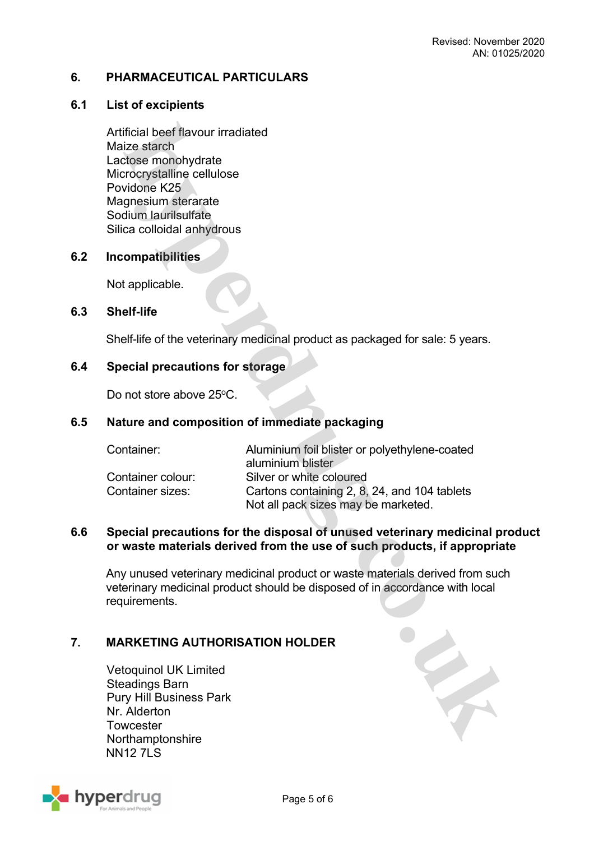## **6. PHARMACEUTICAL PARTICULARS**

## **6.1 List of excipients**

Artificial beef flavour irradiated Maize starch Lactose monohydrate Microcrystalline cellulose Povidone K25 Magnesium sterarate Sodium laurilsulfate Silica colloidal anhydrous

### **6.2 Incompatibilities**

Not applicable.

### **6.3 Shelf-life**

Shelf-life of the veterinary medicinal product as packaged for sale: 5 years.

## **6.4 Special precautions for storage**

Do not store above 25°C.

### **6.5 Nature and composition of immediate packaging**

| Container:        | Aluminium foil blister or polyethylene-coated |
|-------------------|-----------------------------------------------|
|                   | aluminium blister                             |
| Container colour: | Silver or white coloured                      |
| Container sizes:  | Cartons containing 2, 8, 24, and 104 tablets  |
|                   | Not all pack sizes may be marketed.           |

## **6.6 Special precautions for the disposal of unused veterinary medicinal product or waste materials derived from the use of such products, if appropriate**

Any unused veterinary medicinal product or waste materials derived from such veterinary medicinal product should be disposed of in accordance with local requirements.

## **7. MARKETING AUTHORISATION HOLDER**

Vetoquinol UK Limited Steadings Barn Pury Hill Business Park Nr. Alderton **Towcester Northamptonshire NN12 7LS**